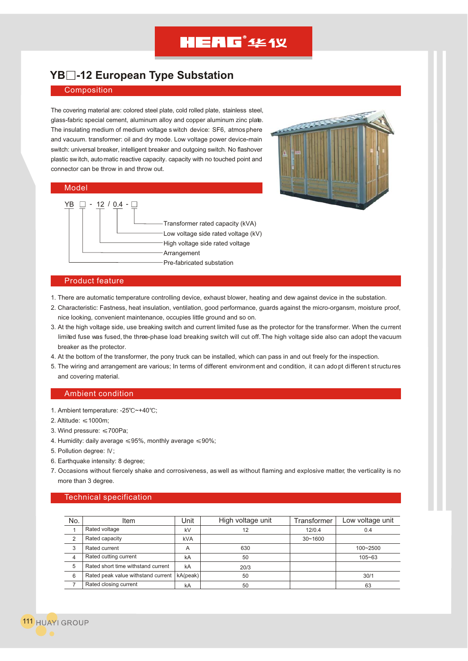## **HEAG**<sup>\*</sup>4£1X

### **YB -12 European Type Substation**

#### Composition

The covering material are: colored steel plate, cold rolled plate, stainless steel, glass-fabric special cement, aluminum alloy and copper aluminum zinc plate. The insulating medium of medium voltage s witch device: SF6, atmos phere and vacuum. transformer: oil and dry mode. Low voltage power device-main switch: universal breaker, intelligent breaker and outgoing switch. No flashover plastic switch, automatic reactive capacity. capacity with no touched point and connector can be throw in and throw out.

#### Model





#### Product feature

- 1. There are automatic temperature controlling device, exhaust blower, heating and dew against device in the substation.
- 2. Characteristic: Fastness, heat insulation, ventilation, good performance, guards against the micro-organsm, moisture proof, nice looking, convenient maintenance, occupies little ground and so on.
- 3. At the high voltage side, use breaking switch and current limited fuse as the protector for the transformer. When the current limited fuse was fused, the three-phase load breaking switch will cut off. The high voltage side also can adopt the vacuum breaker as the protector.
- 4. At the bottom of the transformer, the pony truck can be installed, which can pass in and out freely for the inspection.
- 5. The wiring and arrangement are various; In terms of different environment and condition, it can adopt differen t structures and covering material.

#### Ambient condition

- 1. Ambient temperature: -25°C~+40°C;
- 2. Altitude:  $\leq 1000$ m:
- 3. Wind pressure:  $\leq 700$ Pa;
- 4. Humidity: daily average  $\leq 95\%$ , monthly average  $\leq 90\%$ ;
- 5. Pollution degree: IV;
- 6. Earthquake intensity: 8 degree;
- 7. Occasions without fiercely shake and corrosiveness, as well as without flaming and explosive matter, the verticality is no more than 3 degree.

#### Technical specification

| No.            | Item                               | Unit       | High voltage unit | Transformer | Low voltage unit |
|----------------|------------------------------------|------------|-------------------|-------------|------------------|
|                | Rated voltage                      | kV         | 12                | 12/0.4      | 0.4              |
| $\overline{2}$ | Rated capacity                     | <b>kVA</b> |                   | $30 - 1600$ |                  |
| 3              | Rated current                      | A          | 630               |             | 100~2500         |
| 4              | Rated cutting current              | kA         | 50                |             | $105 - 63$       |
| 5              | Rated short time withstand current | kA         | 20/3              |             |                  |
| 6              | Rated peak value withstand current | kA(peak)   | 50                |             | 30/1             |
|                | Rated closing current              | kA         | 50                |             | 63               |